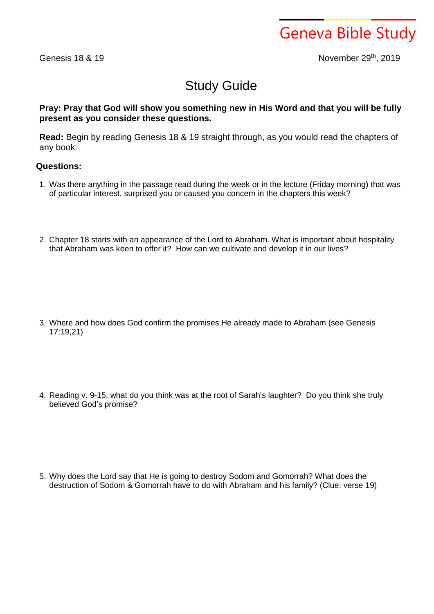Geneva Bible Study

Genesis 18 & 19

th , 2019

## Study Guide

**Pray: Pray that God will show you something new in His Word and that you will be fully present as you consider these questions.**

**Read:** Begin by reading Genesis 18 & 19 straight through, as you would read the chapters of any book.

## **Questions:**

- 1. Was there anything in the passage read during the week or in the lecture (Friday morning) that was of particular interest, surprised you or caused you concern in the chapters this week?
- 2. Chapter 18 starts with an appearance of the Lord to Abraham. What is important about hospitality that Abraham was keen to offer it? How can we cultivate and develop it in our lives?

- 3. Where and how does God confirm the promises He already made to Abraham (see Genesis 17:19,21)
- 4. Reading v. 9-15, what do you think was at the root of Sarah's laughter? Do you think she truly believed God's promise?

5. Why does the Lord say that He is going to destroy Sodom and Gomorrah? What does the destruction of Sodom & Gomorrah have to do with Abraham and his family? (Clue: verse 19)